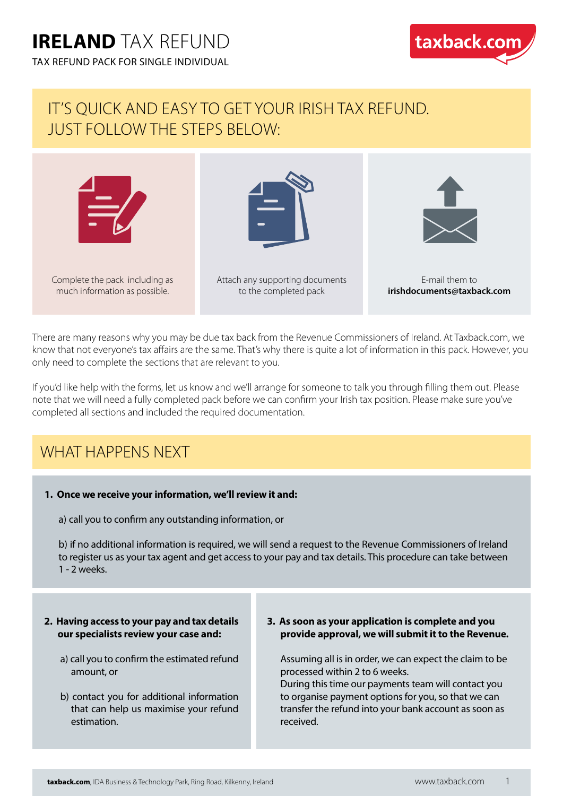TAX REFUND PACK FOR SINGLE INDIVIDUAL



### IT'S QUICK AND EASY TO GET YOUR IRISH TAX REFUND. JUST FOLLOW THE STEPS BELOW:



There are many reasons why you may be due tax back from the Revenue Commissioners of Ireland. At Taxback.com, we know that not everyone's tax affairs are the same. That's why there is quite a lot of information in this pack. However, you only need to complete the sections that are relevant to you.

If you'd like help with the forms, let us know and we'll arrange for someone to talk you through filling them out. Please note that we will need a fully completed pack before we can confirm your Irish tax position. Please make sure you've completed all sections and included the required documentation.

### WHAT HAPPENS NEXT

#### **1. Once we receive your information, we'll review it and:**

a) call you to confirm any outstanding information, or

b) if no additional information is required, we will send a request to the Revenue Commissioners of Ireland to register us as your tax agent and get access to your pay and tax details. This procedure can take between 1 - 2 weeks.

#### **2. Having access to your pay and tax details our specialists review your case and:**

- a) call you to confirm the estimated refund amount, or
- b) contact you for additional information that can help us maximise your refund estimation.
- **3. As soon as your application is complete and you provide approval, we will submit it to the Revenue.**

Assuming all is in order, we can expect the claim to be processed within 2 to 6 weeks.

During this time our payments team will contact you to organise payment options for you, so that we can transfer the refund into your bank account as soon as received.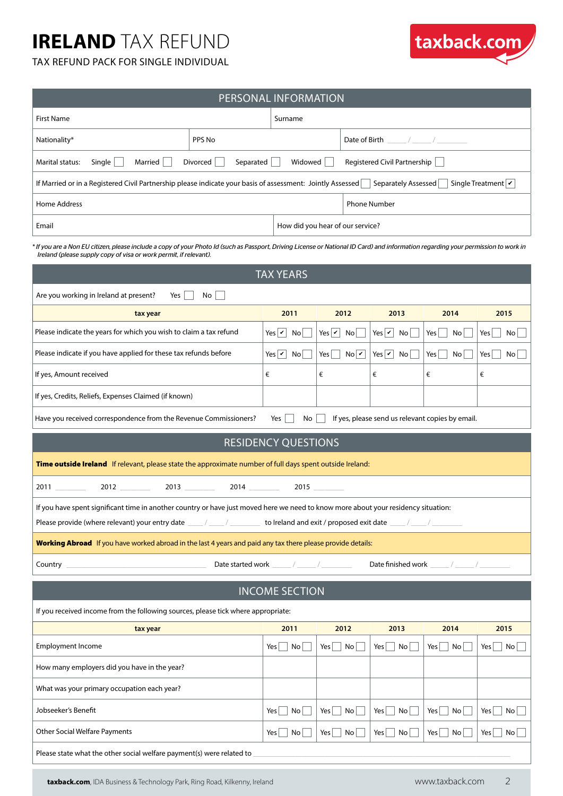

#### TAX REFUND PACK FOR SINGLE INDIVIDUAL

| PERSONAL INFORMATION<br><b>First Name</b>                                                                                                                                                                                                               |                             |                                  |                                                             |                        |                           |  |  |
|---------------------------------------------------------------------------------------------------------------------------------------------------------------------------------------------------------------------------------------------------------|-----------------------------|----------------------------------|-------------------------------------------------------------|------------------------|---------------------------|--|--|
|                                                                                                                                                                                                                                                         | Surname                     |                                  |                                                             |                        |                           |  |  |
| PPS No<br>Nationality*                                                                                                                                                                                                                                  |                             |                                  | Date of Birth $\frac{1}{2}$ / $\frac{1}{2}$ / $\frac{1}{2}$ |                        |                           |  |  |
| Divorced<br>Separated<br>Marital status:<br>Single<br>Married                                                                                                                                                                                           | Widowed                     |                                  | Registered Civil Partnership                                |                        |                           |  |  |
| Single Treatment $ \mathbf{v} $<br>If Married or in a Registered Civil Partnership please indicate your basis of assessment: Jointly Assessed<br>Separately Assessed                                                                                    |                             |                                  |                                                             |                        |                           |  |  |
| Home Address                                                                                                                                                                                                                                            |                             |                                  | <b>Phone Number</b>                                         |                        |                           |  |  |
| Email                                                                                                                                                                                                                                                   |                             | How did you hear of our service? |                                                             |                        |                           |  |  |
| * If you are a Non EU citizen, please include a copy of your Photo Id (such as Passport, Driving License or National ID Card) and information regarding your permission to work in<br>Ireland (please supply copy of visa or work permit, if relevant). |                             |                                  |                                                             |                        |                           |  |  |
|                                                                                                                                                                                                                                                         | <b>TAX YEARS</b>            |                                  |                                                             |                        |                           |  |  |
| Are you working in Ireland at present?<br>Yes<br>No                                                                                                                                                                                                     |                             |                                  |                                                             |                        |                           |  |  |
| tax year                                                                                                                                                                                                                                                | 2011                        | 2012                             | 2013                                                        | 2014                   | 2015                      |  |  |
| Please indicate the years for which you wish to claim a tax refund                                                                                                                                                                                      | Yes $ v $ No                | Yes $ v $ No                     | Yes $ v $ No                                                | Yes<br>No <sub>1</sub> | Yes<br>No                 |  |  |
| Please indicate if you have applied for these tax refunds before                                                                                                                                                                                        | Yes $\boxed{\mathbf{v}}$ No | NoV<br>$Yes$                     | Yes $\mathbf{v}$ No                                         | Yes<br>No <sub>1</sub> | Yes<br>No <sub>1</sub>    |  |  |
| If yes, Amount received                                                                                                                                                                                                                                 | €                           | €                                | €                                                           | €                      | €                         |  |  |
| If yes, Credits, Reliefs, Expenses Claimed (if known)                                                                                                                                                                                                   |                             |                                  |                                                             |                        |                           |  |  |
| Have you received correspondence from the Revenue Commissioners?<br>If yes, please send us relevant copies by email.<br>No<br>Yes                                                                                                                       |                             |                                  |                                                             |                        |                           |  |  |
|                                                                                                                                                                                                                                                         |                             |                                  |                                                             |                        |                           |  |  |
|                                                                                                                                                                                                                                                         | <b>RESIDENCY QUESTIONS</b>  |                                  |                                                             |                        |                           |  |  |
| Time outside Ireland If relevant, please state the approximate number of full days spent outside Ireland:                                                                                                                                               |                             |                                  |                                                             |                        |                           |  |  |
| 2013<br>2011                                                                                                                                                                                                                                            |                             | 2015                             |                                                             |                        |                           |  |  |
| If you have spent significant time in another country or have just moved here we need to know more about your residency situation:                                                                                                                      |                             |                                  |                                                             |                        |                           |  |  |
| Please provide (where relevant) your entry date ____/____/___________ to Ireland and exit / proposed exit date ____/____/______                                                                                                                         |                             |                                  |                                                             |                        |                           |  |  |
| Working Abroad If you have worked abroad in the last 4 years and paid any tax there please provide details:                                                                                                                                             |                             |                                  |                                                             |                        |                           |  |  |
| Country $\overline{\phantom{a}}$                                                                                                                                                                                                                        |                             |                                  |                                                             |                        |                           |  |  |
|                                                                                                                                                                                                                                                         | <b>INCOME SECTION</b>       |                                  |                                                             |                        |                           |  |  |
| If you received income from the following sources, please tick where appropriate:                                                                                                                                                                       |                             |                                  |                                                             |                        |                           |  |  |
| tax year                                                                                                                                                                                                                                                | 2011                        | 2012                             | 2013                                                        | 2014                   | 2015                      |  |  |
| <b>Employment Income</b>                                                                                                                                                                                                                                | Yes<br>$\vert$ No $\vert$   | $Yes \mid No \mid$               | $Yes \mid \neg No \mid$                                     | $Yes \mid No \mid$     | Yes<br>$\vert$ No $\vert$ |  |  |
| How many employers did you have in the year?                                                                                                                                                                                                            |                             |                                  |                                                             |                        |                           |  |  |
| What was your primary occupation each year?                                                                                                                                                                                                             |                             |                                  |                                                             |                        |                           |  |  |
| Jobseeker's Benefit                                                                                                                                                                                                                                     | No<br>Yes                   | Yes<br>$\mathsf{No}$             | No<br>Yes                                                   | $\mathsf{No}$<br>Yes   | Yes<br>No <sub>1</sub>    |  |  |

Please state what the other social welfare payment(s) were related to

**taxback.com**, IDA Business & Technology Park, Ring Road, Kilkenny, Ireland www.taxback.com 2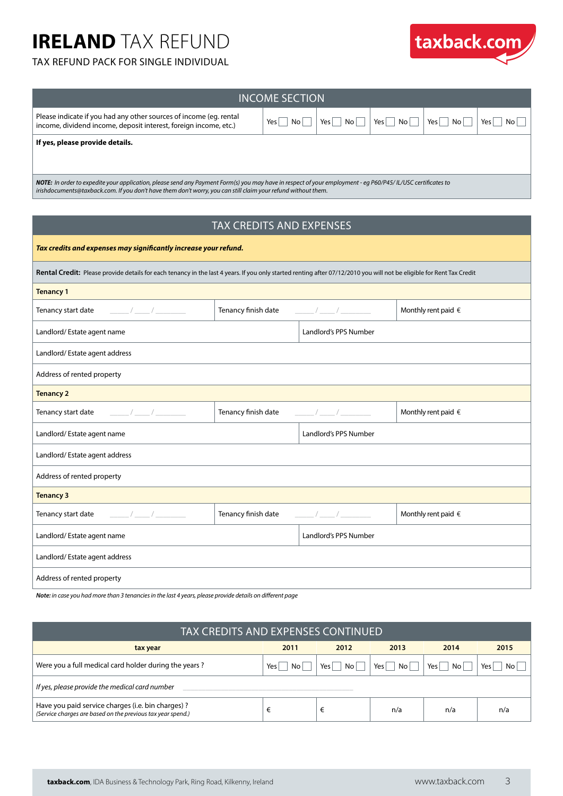#### TAX REFUND PACK FOR SINGLE INDIVIDUAL



| INCOME SECTION                                                                                                                         |           |             |                                     |                        |                          |  |
|----------------------------------------------------------------------------------------------------------------------------------------|-----------|-------------|-------------------------------------|------------------------|--------------------------|--|
| Please indicate if you had any other sources of income (eq. rental<br>income, dividend income, deposit interest, foreign income, etc.) | No<br>Yes | No l<br>Yes | Yes <sub>1</sub><br>No <sub>1</sub> | No <sub>1</sub><br>Yes | No l<br>Yes <sub>1</sub> |  |
| If yes, please provide details.                                                                                                        |           |             |                                     |                        |                          |  |

*NOTE: In order to expedite your application, please send any Payment Form(s) you may have in respect of your employment - eg P60/P45/ IL/USC certificates to irishdocuments@taxback.com. If you don't have them don't worry, you can still claim your refund without them.*

#### TAX CREDITS AND EXPENSES

| Tax credits and expenses may significantly increase your refund.                                                                                                      |                     |                                                                              |                              |  |  |  |  |
|-----------------------------------------------------------------------------------------------------------------------------------------------------------------------|---------------------|------------------------------------------------------------------------------|------------------------------|--|--|--|--|
| Rental Credit: Please provide details for each tenancy in the last 4 years. If you only started renting after 07/12/2010 you will not be eligible for Rent Tax Credit |                     |                                                                              |                              |  |  |  |  |
| <b>Tenancy 1</b>                                                                                                                                                      |                     |                                                                              |                              |  |  |  |  |
|                                                                                                                                                                       | Tenancy finish date | $\frac{1}{\sqrt{2}}$                                                         | Monthly rent paid $\in$      |  |  |  |  |
| Landlord/Estate agent name                                                                                                                                            |                     | Landlord's PPS Number                                                        |                              |  |  |  |  |
| Landlord/Estate agent address                                                                                                                                         |                     |                                                                              |                              |  |  |  |  |
| Address of rented property                                                                                                                                            |                     |                                                                              |                              |  |  |  |  |
| <b>Tenancy 2</b>                                                                                                                                                      |                     |                                                                              |                              |  |  |  |  |
|                                                                                                                                                                       | Tenancy finish date | $\frac{1}{2}$                                                                | Monthly rent paid $\in$      |  |  |  |  |
| Landlord/Estate agent name                                                                                                                                            |                     | Landlord's PPS Number                                                        |                              |  |  |  |  |
| Landlord/Estate agent address                                                                                                                                         |                     |                                                                              |                              |  |  |  |  |
| Address of rented property                                                                                                                                            |                     |                                                                              |                              |  |  |  |  |
| <b>Tenancy 3</b>                                                                                                                                                      |                     |                                                                              |                              |  |  |  |  |
|                                                                                                                                                                       | Tenancy finish date | $\frac{1}{\sqrt{1-\frac{1}{2}}}\left( \frac{1}{\sqrt{1-\frac{1}{2}}}\right)$ | Monthly rent paid $\epsilon$ |  |  |  |  |
| Landlord/Estate agent name                                                                                                                                            |                     | Landlord's PPS Number                                                        |                              |  |  |  |  |
| Landlord/Estate agent address                                                                                                                                         |                     |                                                                              |                              |  |  |  |  |
| Address of rented property                                                                                                                                            |                     |                                                                              |                              |  |  |  |  |

*Note: in case you had more than 3 tenancies in the last 4 years, please provide details on different page*

| <b>TAX CREDITS AND EXPENSES CONTINUED</b>                                                                         |             |              |                       |             |             |  |
|-------------------------------------------------------------------------------------------------------------------|-------------|--------------|-----------------------|-------------|-------------|--|
| tax year                                                                                                          | 2011        | 2012         | 2013                  | 2014        | 2015        |  |
| Were you a full medical card holder during the years?                                                             | Yes<br>No l | No l<br>Yes, | No l<br>$Yes_{\perp}$ | No l<br>Yes | No l<br>Yes |  |
| If yes, please provide the medical card number                                                                    |             |              |                       |             |             |  |
| Have you paid service charges (i.e. bin charges) ?<br>(Service charges are based on the previous tax year spend.) |             | €            | n/a                   | n/a         | n/a         |  |